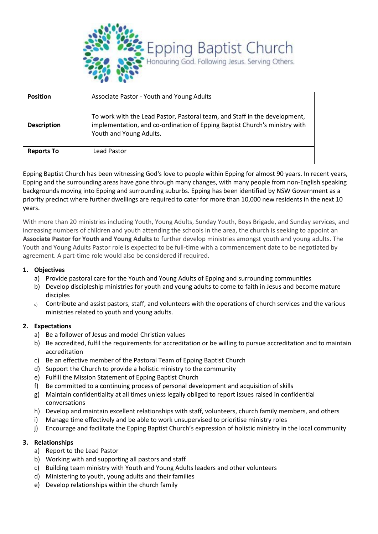

| <b>Position</b>    | Associate Pastor - Youth and Young Adults                                                                                                                                           |
|--------------------|-------------------------------------------------------------------------------------------------------------------------------------------------------------------------------------|
| <b>Description</b> | To work with the Lead Pastor, Pastoral team, and Staff in the development,<br>implementation, and co-ordination of Epping Baptist Church's ministry with<br>Youth and Young Adults. |
| <b>Reports To</b>  | Lead Pastor                                                                                                                                                                         |

Epping Baptist Church has been witnessing God's love to people within Epping for almost 90 years. In recent years, Epping and the surrounding areas have gone through many changes, with many people from non-English speaking backgrounds moving into Epping and surrounding suburbs. Epping has been identified by NSW Government as a priority precinct where further dwellings are required to cater for more than 10,000 new residents in the next 10 years.

With more than 20 ministries including Youth, Young Adults, Sunday Youth, Boys Brigade, and Sunday services, and increasing numbers of children and youth attending the schools in the area, the church is seeking to appoint an **Associate Pastor for Youth and Young Adults** to further develop ministries amongst youth and young adults. The Youth and Young Adults Pastor role is expected to be full-time with a commencement date to be negotiated by agreement. A part-time role would also be considered if required.

#### **1. Objectives**

- a) Provide pastoral care for the Youth and Young Adults of Epping and surrounding communities
- b) Develop discipleship ministries for youth and young adults to come to faith in Jesus and become mature disciples
- c) Contribute and assist pastors, staff, and volunteers with the operations of church services and the various ministries related to youth and young adults.

#### **2. Expectations**

- a) Be a follower of Jesus and model Christian values
- b) Be accredited, fulfil the requirements for accreditation or be willing to pursue accreditation and to maintain accreditation
- c) Be an effective member of the Pastoral Team of Epping Baptist Church
- d) Support the Church to provide a holistic ministry to the community
- e) Fulfill the Mission Statement of Epping Baptist Church
- f) Be committed to a continuing process of personal development and acquisition of skills
- g) Maintain confidentiality at all times unless legally obliged to report issues raised in confidential conversations
- h) Develop and maintain excellent relationships with staff, volunteers, church family members, and others
- i) Manage time effectively and be able to work unsupervised to prioritise ministry roles
- j) Encourage and facilitate the Epping Baptist Church's expression of holistic ministry in the local community

#### **3. Relationships**

- a) Report to the Lead Pastor
- b) Working with and supporting all pastors and staff
- c) Building team ministry with Youth and Young Adults leaders and other volunteers
- d) Ministering to youth, young adults and their families
- e) Develop relationships within the church family